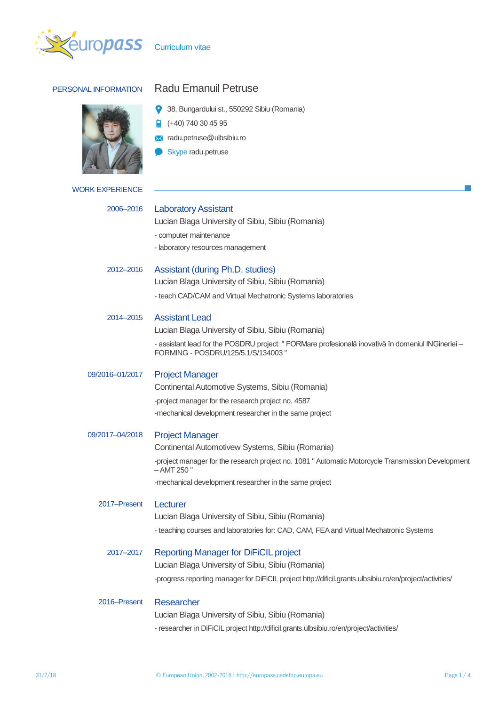



# PERSONAL INFORMATION Radu Emanuil Petruse

38, Bungardului st., 550292 Sibiu (Romania)

 $\frac{1}{2}$  (+40) 740 30 45 95

**X** radu.petruse@ulbsibiu.ro

 $\bullet$ Skype radu.petruse

| <b>WORK EXPERIENCE</b> |                                                                                                                                          |
|------------------------|------------------------------------------------------------------------------------------------------------------------------------------|
|                        |                                                                                                                                          |
| 2006-2016              | <b>Laboratory Assistant</b>                                                                                                              |
|                        | Lucian Blaga University of Sibiu, Sibiu (Romania)                                                                                        |
|                        | - computer maintenance<br>- laboratory resources management                                                                              |
|                        |                                                                                                                                          |
| 2012-2016              | Assistant (during Ph.D. studies)                                                                                                         |
|                        | Lucian Blaga University of Sibiu, Sibiu (Romania)                                                                                        |
|                        | - teach CAD/CAM and Virtual Mechatronic Systems laboratories                                                                             |
| 2014-2015              | <b>Assistant Lead</b>                                                                                                                    |
|                        | Lucian Blaga University of Sibiu, Sibiu (Romania)                                                                                        |
|                        | - assistant lead for the POSDRU project: " FORMare profesională inovativă în domeniul INGineriei -<br>FORMING - POSDRU/125/5.1/S/134003" |
| 09/2016-01/2017        | <b>Project Manager</b>                                                                                                                   |
|                        | Continental Automotive Systems, Sibiu (Romania)                                                                                          |
|                        | -project manager for the research project no. 4587                                                                                       |
|                        | -mechanical development researcher in the same project                                                                                   |
| 09/2017-04/2018        | <b>Project Manager</b>                                                                                                                   |
|                        | Continental Automotivew Systems, Sibiu (Romania)                                                                                         |
|                        | -project manager for the research project no. 1081 " Automatic Motorcycle Transmission Development<br>– AMT 250 "                        |
|                        | -mechanical development researcher in the same project                                                                                   |
| 2017-Present           | Lecturer                                                                                                                                 |
|                        | Lucian Blaga University of Sibiu, Sibiu (Romania)                                                                                        |
|                        | - teaching courses and laboratories for: CAD, CAM, FEA and Virtual Mechatronic Systems                                                   |
| 2017-2017              | <b>Reporting Manager for DiFiCIL project</b>                                                                                             |
|                        | Lucian Blaga University of Sibiu, Sibiu (Romania)                                                                                        |
|                        | -progress reporting manager for DiFiCIL project http://dificil.grants.ulbsibiu.ro/en/project/activities/                                 |
| 2016–Present           | Researcher                                                                                                                               |
|                        | Lucian Blaga University of Sibiu, Sibiu (Romania)                                                                                        |

- researcher in DiFiCIL project http://dificil.grants.ulbsibiu.ro/en/project/activities/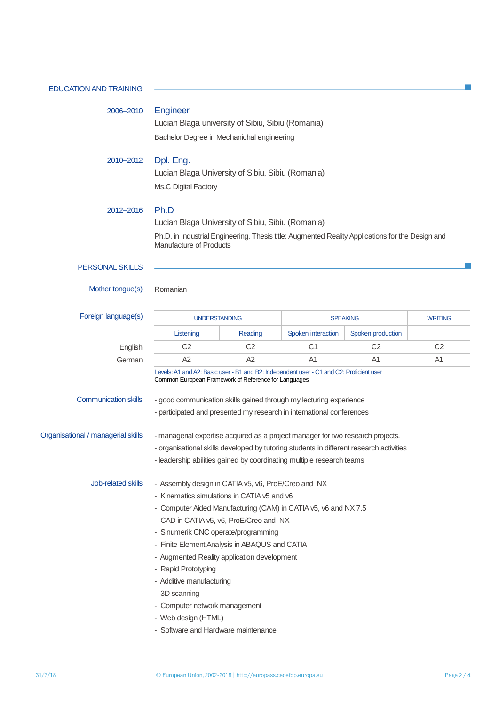EDUCATION AND TRAINING 2006–2010 Engineer Lucian Blaga university of Sibiu, Sibiu (Romania) Bachelor Degree in Mechanichal engineering 2010–2012 Dpl. Eng. Lucian Blaga University of Sibiu, Sibiu (Romania) Ms.C Digital Factory 2012–2016 Ph.D Lucian Blaga University of Sibiu, Sibiu (Romania) Ph.D. in Industrial Engineering. Thesis title: Augmented Reality Applications for the Design and Manufacture of Products PERSONAL SKILLS Mother tongue(s) Romanian Foreign language(s) The UNDERSTANDING CONSIDERED SPEAKING WRITING Listening | Reading | Spoken interaction | Spoken production English C2 C2 C1 C2 C2 German A2 A2 A1 A1 A1 Levels: A1 and A2: Basic user - B1 and B2: Independent user - C1 and C2: Proficient user [Common European Framework of Reference for Languages](http://europass.cedefop.europa.eu/en/resources/european-language-levels-cefr) Communication skills - good communication skills gained through my lecturing experience - participated and presented my research in international conferences Organisational / managerial skills - managerial expertise acquired as a project manager for two research projects. - organisational skills developed by tutoring students in different research activities - leadership abilities gained by coordinating multiple research teams Job-related skills - Assembly design in CATIA v5, v6, ProE/Creo and NX - Kinematics simulations in CATIA v5 and v6 - Computer Aided Manufacturing (CAM) in CATIA v5, v6 and NX 7.5 - CAD in CATIA v5, v6, ProE/Creo and NX - Sinumerik CNC operate/programming - Finite Element Analysis in ABAQUS and CATIA - Augmented Reality application development - Rapid Prototyping - Additive manufacturing - 3D scanning - Computer network management

- Web design (HTML)
- Software and Hardware maintenance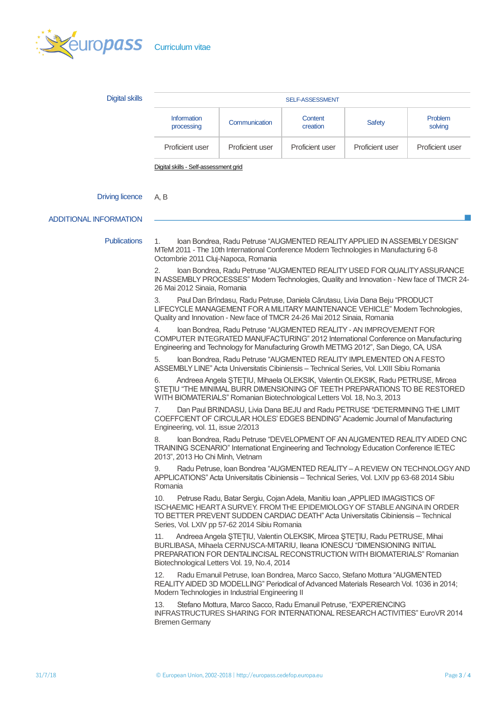

| <b>SELF-ASSESSMENT</b>           |                 |                     |                 |                    |  |
|----------------------------------|-----------------|---------------------|-----------------|--------------------|--|
| <b>Information</b><br>processing | Communication   | Content<br>creation | <b>Safety</b>   | Problem<br>solving |  |
| Proficient user                  | Proficient user | Proficient user     | Proficient user | Proficient user    |  |
|                                  |                 |                     |                 |                    |  |

Digital skills - [Self-assessment grid](http://europass.cedefop.europa.eu/en/resources/digital-competences)

#### Driving licence A, B

## ADDITIONAL INFORMATION

Publications 1. Ioan Bondrea, Radu Petruse "AUGMENTED REALITY APPLIED IN ASSEMBLY DESIGN" MTeM 2011 - The 10th International Conference Modern Technologies in Manufacturing 6-8 Octombrie 2011 Cluj-Napoca, Romania

> 2. Ioan Bondrea, Radu Petruse "AUGMENTED REALITY USED FOR QUALITY ASSURANCE IN ASSEMBLY PROCESSES" Modern Technologies, Quality and Innovation - New face of TMCR 24- 26 Mai 2012 Sinaia, Romania

3. Paul Dan Brîndasu, Radu Petruse, Daniela Cărutasu, Livia Dana Beju "PRODUCT LIFECYCLE MANAGEMENT FOR A MILITARY MAINTENANCE VEHICLE" Modern Technologies, Quality and Innovation - New face of TMCR 24-26 Mai 2012 Sinaia, Romania

4. Ioan Bondrea, Radu Petruse "AUGMENTED REALITY - AN IMPROVEMENT FOR COMPUTER INTEGRATED MANUFACTURING" 2012 International Conference on Manufacturing Engineering and Technology for Manufacturing Growth METMG 2012", San Diego, CA, USA

5. Ioan Bondrea, Radu Petruse "AUGMENTED REALITY IMPLEMENTED ON A FESTO ASSEMBLY LINE" Acta Universitatis Cibiniensis – Technical Series, Vol. LXIII Sibiu Romania

6. Andreea Angela ŞTEŢIU, Mihaela OLEKSIK, Valentin OLEKSIK, Radu PETRUSE, Mircea ŞTEŢIU "THE MINIMAL BURR DIMENSIONING OF TEETH PREPARATIONS TO BE RESTORED WITH BIOMATERIALS" Romanian Biotechnological Letters Vol. 18, No.3, 2013

7. Dan Paul BRINDASU, Livia Dana BEJU and Radu PETRUSE "DETERMINING THE LIMIT COEFFCIENT OF CIRCULAR HOLES' EDGES BENDING" Academic Journal of Manufacturing Engineering, vol. 11, issue 2/2013

8. Ioan Bondrea, Radu Petruse "DEVELOPMENT OF AN AUGMENTED REALITY AIDED CNC TRAINING SCENARIO" Internationat Engineering and Technology Education Conference IETEC 2013", 2013 Ho Chi Minh, Vietnam

9. Radu Petruse, Ioan Bondrea "AUGMENTED REALITY - A REVIEW ON TECHNOLOGY AND APPLICATIONS" Acta Universitatis Cibiniensis – Technical Series, Vol. LXIV pp 63-68 2014 Sibiu Romania

10. Petruse Radu, Batar Sergiu, Cojan Adela, Manitiu Ioan "APPLIED IMAGISTICS OF ISCHAEMIC HEART A SURVEY. FROM THE EPIDEMIOLOGY OF STABLE ANGINA IN ORDER TO BETTER PREVENT SUDDEN CARDIAC DEATH" Acta Universitatis Cibiniensis – Technical Series, Vol. LXIV pp 57-62 2014 Sibiu Romania

11. Andreea Angela ŞTEŢIU, Valentin OLEKSIK, Mircea ŞTEŢIU, Radu PETRUSE, Mihai BURLIBASA, Mihaela CERNUSCA-MITARIU, Ileana IONESCU "DIMENSIONING INITIAL PREPARATION FOR DENTALINCISAL RECONSTRUCTION WITH BIOMATERIALS" Romanian Biotechnological Letters Vol. 19, No.4, 2014

12. Radu Emanuil Petruse, Ioan Bondrea, Marco Sacco, Stefano Mottura "AUGMENTED REALITY AIDED 3D MODELLING" Periodical of Advanced Materials Research Vol. 1036 in 2014; Modern Technologies in Industrial Engineering II

13. Stefano Mottura, Marco Sacco, Radu Emanuil Petruse, "EXPERIENCING INFRASTRUCTURES SHARING FOR INTERNATIONAL RESEARCH ACTIVITIES" EuroVR 2014 Bremen Germany